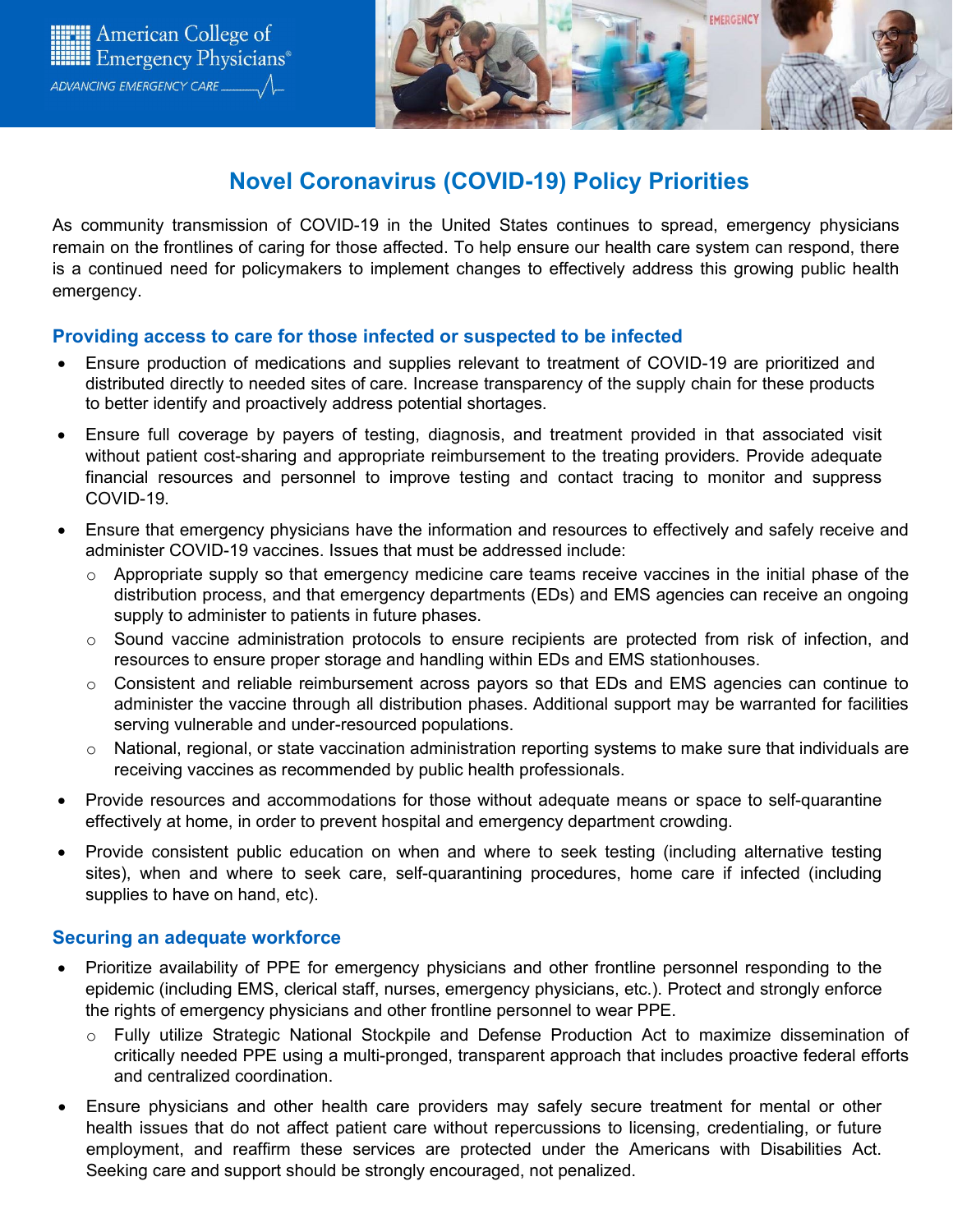



# **Novel Coronavirus (COVID-19) Policy Priorities**

As community transmission of COVID-19 in the United States continues to spread, emergency physicians remain on the frontlines of caring for those affected. To help ensure our health care system can respond, there is a continued need for policymakers to implement changes to effectively address this growing public health emergency.

## **Providing access to care for those infected or suspected to be infected**

- Ensure production of medications and supplies relevant to treatment of COVID-19 are prioritized and distributed directly to needed sites of care. Increase transparency of the supply chain for these products to better identify and proactively address potential shortages.
- Ensure full coverage by payers of testing, diagnosis, and treatment provided in that associated visit without patient cost-sharing and appropriate reimbursement to the treating providers. Provide adequate financial resources and personnel to improve testing and contact tracing to monitor and suppress COVID-19.
- Ensure that emergency physicians have the information and resources to effectively and safely receive and administer COVID-19 vaccines. Issues that must be addressed include:
	- $\circ$  Appropriate supply so that emergency medicine care teams receive vaccines in the initial phase of the distribution process, and that emergency departments (EDs) and EMS agencies can receive an ongoing supply to administer to patients in future phases.
	- $\circ$  Sound vaccine administration protocols to ensure recipients are protected from risk of infection, and resources to ensure proper storage and handling within EDs and EMS stationhouses.
	- $\circ$  Consistent and reliable reimbursement across payors so that EDs and EMS agencies can continue to administer the vaccine through all distribution phases. Additional support may be warranted for facilities serving vulnerable and under-resourced populations.
	- $\circ$  National, regional, or state vaccination administration reporting systems to make sure that individuals are receiving vaccines as recommended by public health professionals.
- Provide resources and accommodations for those without adequate means or space to self-quarantine effectively at home, in order to prevent hospital and emergency department crowding.
- Provide consistent public education on when and where to seek testing (including alternative testing sites), when and where to seek care, self-quarantining procedures, home care if infected (including supplies to have on hand, etc).

## **Securing an adequate workforce**

- Prioritize availability of PPE for emergency physicians and other frontline personnel responding to the epidemic (including EMS, clerical staff, nurses, emergency physicians, etc.). Protect and strongly enforce the rights of emergency physicians and other frontline personnel to wear PPE.
	- o Fully utilize Strategic National Stockpile and Defense Production Act to maximize dissemination of critically needed PPE using a multi-pronged, transparent approach that includes proactive federal efforts and centralized coordination.
- Ensure physicians and other health care providers may safely secure treatment for mental or other health issues that do not affect patient care without repercussions to licensing, credentialing, or future employment, and reaffirm these services are protected under the Americans with Disabilities Act. Seeking care and support should be strongly encouraged, not penalized.